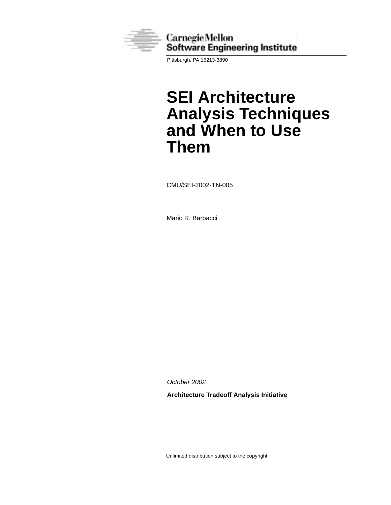

**Carnegie Mellon<br>Software Engineering Institute** 

Pittsburgh, PA 15213-3890

# **SEI Architecture Analysis Techniques and When to Use Them**

CMU/SEI-2002-TN-005

Mario R. Barbacci

October 2002

**Architecture Tradeoff Analysis Initiative**

Unlimited distribution subject to the copyright.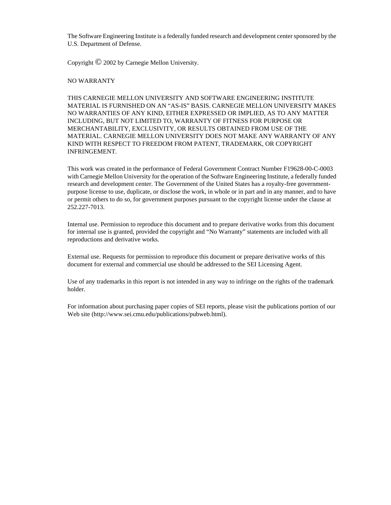The Software Engineering Institute is a federally funded research and development center sponsored by the U.S. Department of Defense.

Copyright © 2002 by Carnegie Mellon University.

#### NO WARRANTY

THIS CARNEGIE MELLON UNIVERSITY AND SOFTWARE ENGINEERING INSTITUTE MATERIAL IS FURNISHED ON AN "AS-IS" BASIS. CARNEGIE MELLON UNIVERSITY MAKES NO WARRANTIES OF ANY KIND, EITHER EXPRESSED OR IMPLIED, AS TO ANY MATTER INCLUDING, BUT NOT LIMITED TO, WARRANTY OF FITNESS FOR PURPOSE OR MERCHANTABILITY, EXCLUSIVITY, OR RESULTS OBTAINED FROM USE OF THE MATERIAL. CARNEGIE MELLON UNIVERSITY DOES NOT MAKE ANY WARRANTY OF ANY KIND WITH RESPECT TO FREEDOM FROM PATENT, TRADEMARK, OR COPYRIGHT INFRINGEMENT.

This work was created in the performance of Federal Government Contract Number F19628-00-C-0003 with Carnegie Mellon University for the operation of the Software Engineering Institute, a federally funded research and development center. The Government of the United States has a royalty-free governmentpurpose license to use, duplicate, or disclose the work, in whole or in part and in any manner, and to have or permit others to do so, for government purposes pursuant to the copyright license under the clause at 252.227-7013.

Internal use. Permission to reproduce this document and to prepare derivative works from this document for internal use is granted, provided the copyright and "No Warranty" statements are included with all reproductions and derivative works.

External use. Requests for permission to reproduce this document or prepare derivative works of this document for external and commercial use should be addressed to the SEI Licensing Agent.

Use of any trademarks in this report is not intended in any way to infringe on the rights of the trademark holder.

For information about purchasing paper copies of SEI reports, please visit the publications portion of our Web site (http://www.sei.cmu.edu/publications/pubweb.html).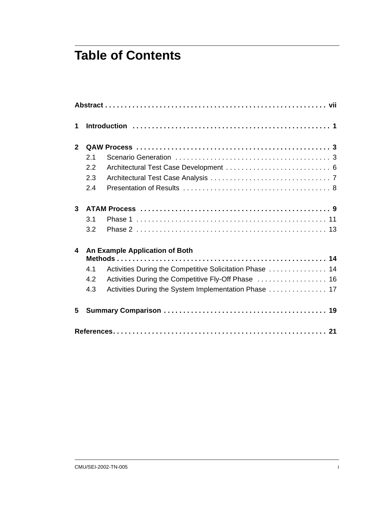## **Table of Contents**

| 1                       |                                |                                                          |  |  |  |
|-------------------------|--------------------------------|----------------------------------------------------------|--|--|--|
| $\overline{2}$          |                                |                                                          |  |  |  |
|                         | 2.1                            |                                                          |  |  |  |
|                         | 2.2                            |                                                          |  |  |  |
|                         | 2.3                            |                                                          |  |  |  |
|                         | 2.4                            |                                                          |  |  |  |
| $\mathbf{3}$            |                                |                                                          |  |  |  |
|                         | 3.1                            |                                                          |  |  |  |
|                         | 3.2                            |                                                          |  |  |  |
| $\overline{\mathbf{4}}$ | An Example Application of Both |                                                          |  |  |  |
|                         |                                |                                                          |  |  |  |
|                         | 4.1                            | Activities During the Competitive Solicitation Phase  14 |  |  |  |
|                         | 4.2                            | Activities During the Competitive Fly-Off Phase  16      |  |  |  |
|                         | 4.3                            | Activities During the System Implementation Phase  17    |  |  |  |
| 5                       |                                |                                                          |  |  |  |
|                         |                                |                                                          |  |  |  |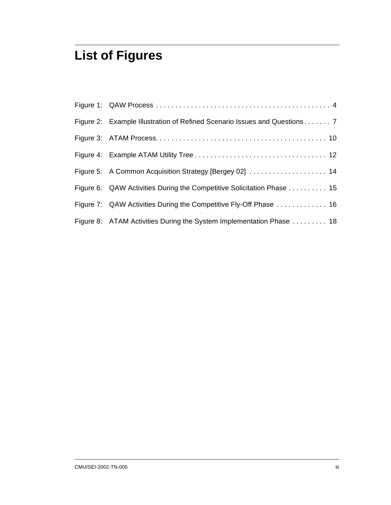# **List of Figures**

| Figure 2: Example Illustration of Refined Scenario Issues and Questions 7 |
|---------------------------------------------------------------------------|
|                                                                           |
|                                                                           |
| Figure 5: A Common Acquisition Strategy [Bergey 02]  14                   |
| Figure 6: QAW Activities During the Competitive Solicitation Phase  15    |
| Figure 7: QAW Activities During the Competitive Fly-Off Phase  16         |
| Figure 8: ATAM Activities During the System Implementation Phase  18      |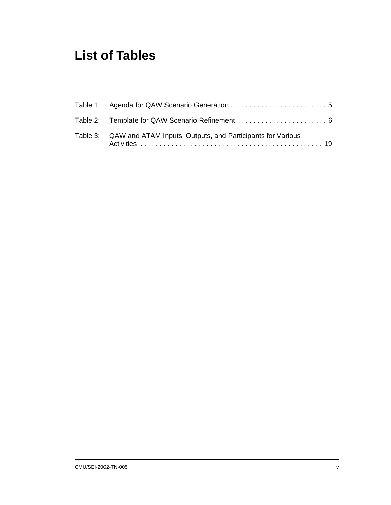## **List of Tables**

| Table 3: QAW and ATAM Inputs, Outputs, and Participants for Various |  |
|---------------------------------------------------------------------|--|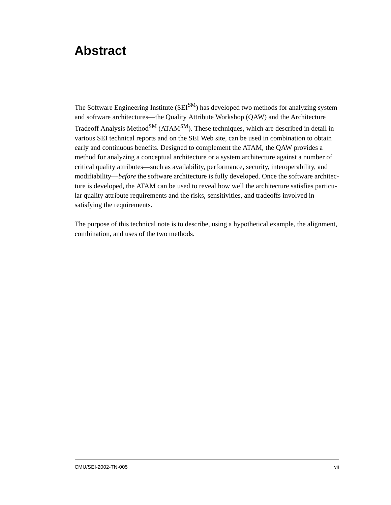# <span id="page-8-0"></span>**Abstract**

The Software Engineering Institute (SEI<sup>SM</sup>) has developed two methods for analyzing system and software architectures—the Quality Attribute Workshop (QAW) and the Architecture Tradeoff Analysis Method<sup>SM</sup> (ATAM<sup>SM</sup>). These techniques, which are described in detail in various SEI technical reports and on the SEI Web site, can be used in combination to obtain early and continuous benefits. Designed to complement the ATAM, the QAW provides a method for analyzing a conceptual architecture or a system architecture against a number of critical quality attributes—such as availability, performance, security, interoperability, and modifiability—*before* the software architecture is fully developed. Once the software architecture is developed, the ATAM can be used to reveal how well the architecture satisfies particular quality attribute requirements and the risks, sensitivities, and tradeoffs involved in satisfying the requirements.

The purpose of this technical note is to describe, using a hypothetical example, the alignment, combination, and uses of the two methods.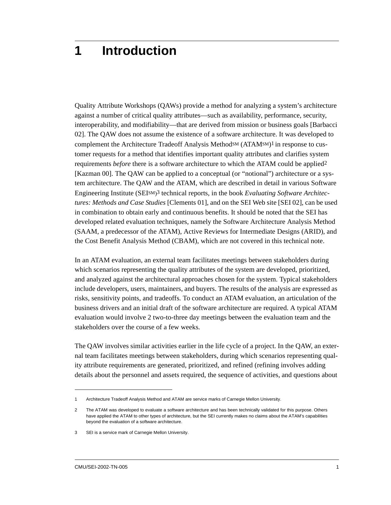### <span id="page-10-0"></span>**1 Introduction**

Quality Attribute Workshops (QAWs) provide a method for analyzing a system's architecture against a number of critical quality attributes—such as availability, performance, security, interoperability, and modifiability—that are derived from mission or business goals [Barbacci 02]. The QAW does not assume the existence of a software architecture. It was developed to complement the Architecture Tradeoff Analysis Method<sup>SM</sup> (ATAM<sup>SM)1</sup> in response to customer requests for a method that identifies important quality attributes and clarifies system requirements *before* there is a software architecture to which the ATAM could be applied2 [Kazman 00]. The QAW can be applied to a conceptual (or "notional") architecture or a system architecture. The QAW and the ATAM, which are described in detail in various Software Engineering Institute (SEISM)3 technical reports, in the book *Evaluating Software Architectures: Methods and Case Studies* [Clements 01], and on the SEI Web site [SEI 02], can be used in combination to obtain early and continuous benefits. It should be noted that the SEI has developed related evaluation techniques, namely the Software Architecture Analysis Method (SAAM, a predecessor of the ATAM), Active Reviews for Intermediate Designs (ARID), and the Cost Benefit Analysis Method (CBAM), which are not covered in this technical note.

In an ATAM evaluation, an external team facilitates meetings between stakeholders during which scenarios representing the quality attributes of the system are developed, prioritized, and analyzed against the architectural approaches chosen for the system. Typical stakeholders include developers, users, maintainers, and buyers. The results of the analysis are expressed as risks, sensitivity points, and tradeoffs. To conduct an ATAM evaluation, an articulation of the business drivers and an initial draft of the software architecture are required. A typical ATAM evaluation would involve 2 two-to-three day meetings between the evaluation team and the stakeholders over the course of a few weeks.

The QAW involves similar activities earlier in the life cycle of a project. In the QAW, an external team facilitates meetings between stakeholders, during which scenarios representing quality attribute requirements are generated, prioritized, and refined (refining involves adding details about the personnel and assets required, the sequence of activities, and questions about

<sup>1</sup> Architecture Tradeoff Analysis Method and ATAM are service marks of Carnegie Mellon University.

<sup>2</sup> The ATAM was developed to evaluate a software architecture and has been technically validated for this purpose. Others have applied the ATAM to other types of architecture, but the SEI currently makes no claims about the ATAM's capabilities beyond the evaluation of a software architecture.

<sup>3</sup> SEI is a service mark of Carnegie Mellon University.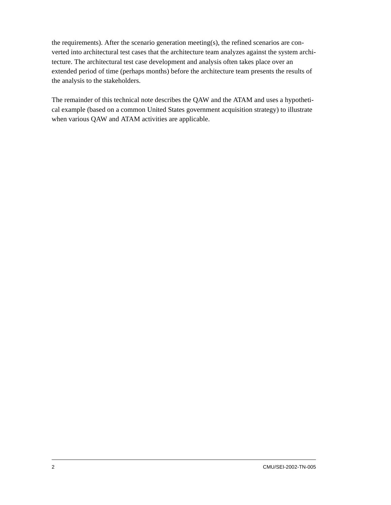the requirements). After the scenario generation meeting(s), the refined scenarios are converted into architectural test cases that the architecture team analyzes against the system architecture. The architectural test case development and analysis often takes place over an extended period of time (perhaps months) before the architecture team presents the results of the analysis to the stakeholders.

The remainder of this technical note describes the QAW and the ATAM and uses a hypothetical example (based on a common United States government acquisition strategy) to illustrate when various QAW and ATAM activities are applicable.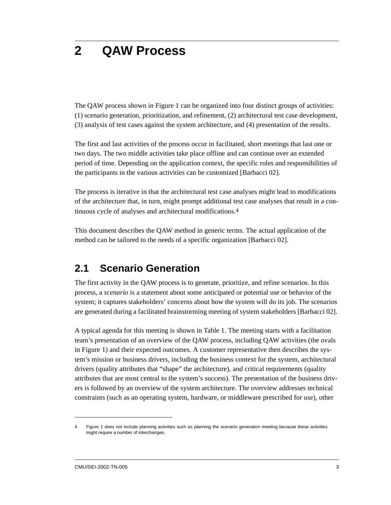### <span id="page-12-0"></span>**2 QAW Process**

The QAW process shown in [Figure 1](#page-13-0) can be organized into four distinct groups of activities: (1) scenario generation, prioritization, and refinement, (2) architectural test case development, (3) analysis of test cases against the system architecture, and (4) presentation of the results.

The first and last activities of the process occur in facilitated, short meetings that last one or two days. The two middle activities take place offline and can continue over an extended period of time. Depending on the application context, the specific roles and responsibilities of the participants in the various activities can be customized [Barbacci 02].

The process is iterative in that the architectural test case analyses might lead to modifications of the architecture that, in turn, might prompt additional test case analyses that result in a continuous cycle of analyses and architectural modifications.4

This document describes the QAW method in generic terms. The actual application of the method can be tailored to the needs of a specific organization [Barbacci 02].

#### <span id="page-12-1"></span>**2.1 Scenario Generation**

The first activity in the QAW process is to generate, prioritize, and refine scenarios. In this process, a *scenario* is a statement about some anticipated or potential use or behavior of the system; it captures stakeholders' concerns about how the system will do its job. The scenarios are generated during a facilitated brainstorming meeting of system stakeholders [Barbacci 02].

A typical agenda for this meeting is shown in Table 1. The meeting starts with a facilitation team's presentation of an overview of the QAW process, including QAW activities (the ovals in [Figure 1](#page-13-0)) and their expected outcomes. A customer representative then describes the system's mission or business drivers, including the business context for the system, architectural drivers (quality attributes that "shape" the architecture), and critical requirements (quality attributes that are most central to the system's success). The presentation of the business drivers is followed by an overview of the system architecture. The overview addresses technical constraints (such as an operating system, hardware, or middleware prescribed for use), other

<sup>4</sup> Figure 1 does not include planning activities such as planning the scenario generation meeting because these activities might require a number of interchanges.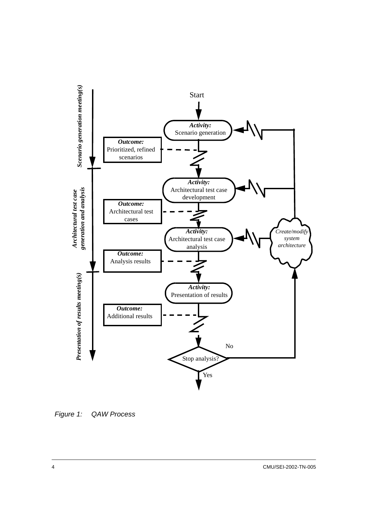

<span id="page-13-0"></span>Figure 1: QAW Process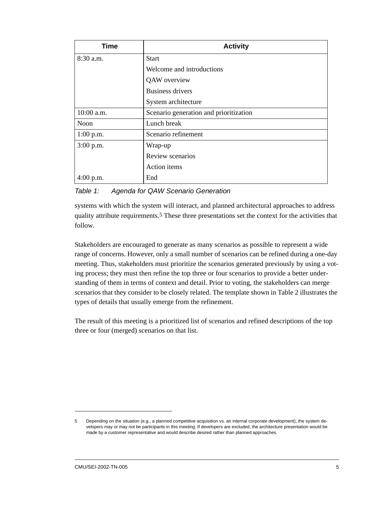| Time        | <b>Activity</b>                        |  |  |
|-------------|----------------------------------------|--|--|
| 8:30 a.m.   | <b>Start</b>                           |  |  |
|             | Welcome and introductions              |  |  |
|             | QAW overview                           |  |  |
|             | <b>Business drivers</b>                |  |  |
|             | System architecture                    |  |  |
| 10:00 a.m.  | Scenario generation and prioritization |  |  |
| <b>Noon</b> | Lunch break                            |  |  |
| $1:00$ p.m. | Scenario refinement                    |  |  |
| 3:00 p.m.   | Wrap-up                                |  |  |
|             | Review scenarios                       |  |  |
|             | Action items                           |  |  |
| $4:00$ p.m. | End                                    |  |  |

#### <span id="page-14-0"></span>Table 1: Agenda for QAW Scenario Generation

systems with which the system will interact, and planned architectural approaches to address quality attribute requirements.<sup>5</sup> These three presentations set the context for the activities that follow.

Stakeholders are encouraged to generate as many scenarios as possible to represent a wide range of concerns. However, only a small number of scenarios can be refined during a one-day meeting. Thus, stakeholders must prioritize the scenarios generated previously by using a voting process; they must then refine the top three or four scenarios to provide a better understanding of them in terms of context and detail. Prior to voting, the stakeholders can merge scenarios that they consider to be closely related. The template shown in [Table 2](#page-15-1) illustrates the types of details that usually emerge from the refinement.

The result of this meeting is a prioritized list of scenarios and refined descriptions of the top three or four (merged) scenarios on that list.

<sup>5</sup> Depending on the situation (e.g., a planned competitive acquisition vs. an internal corporate development), the system developers may or may not be participants in this meeting. If developers are excluded, the architecture presentation would be made by a customer representative and would describe desired rather than planned approaches.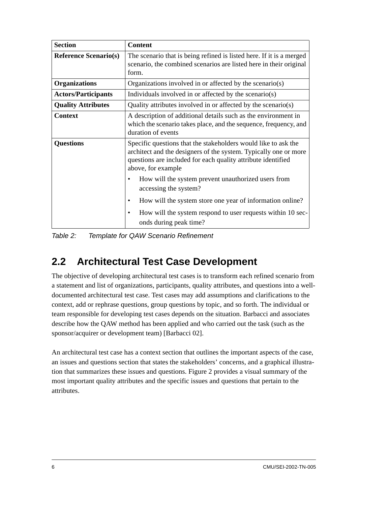| <b>Section</b>               | <b>Content</b>                                                                                                                                                                                                           |  |  |  |
|------------------------------|--------------------------------------------------------------------------------------------------------------------------------------------------------------------------------------------------------------------------|--|--|--|
| <b>Reference Scenario(s)</b> | The scenario that is being refined is listed here. If it is a merged<br>scenario, the combined scenarios are listed here in their original<br>form.                                                                      |  |  |  |
| <b>Organizations</b>         | Organizations involved in or affected by the scenario(s)                                                                                                                                                                 |  |  |  |
| <b>Actors/Participants</b>   | Individuals involved in or affected by the scenario(s)                                                                                                                                                                   |  |  |  |
| <b>Quality Attributes</b>    | Quality attributes involved in or affected by the scenario(s)                                                                                                                                                            |  |  |  |
| <b>Context</b>               | A description of additional details such as the environment in<br>which the scenario takes place, and the sequence, frequency, and<br>duration of events                                                                 |  |  |  |
| <b>Questions</b>             | Specific questions that the stakeholders would like to ask the<br>architect and the designers of the system. Typically one or more<br>questions are included for each quality attribute identified<br>above, for example |  |  |  |
|                              | How will the system prevent unauthorized users from<br>accessing the system?                                                                                                                                             |  |  |  |
|                              | How will the system store one year of information online?<br>٠                                                                                                                                                           |  |  |  |
|                              | How will the system respond to user requests within 10 sec-<br>onds during peak time?                                                                                                                                    |  |  |  |

<span id="page-15-1"></span>Table 2: Template for QAW Scenario Refinement

#### <span id="page-15-0"></span>**2.2 Architectural Test Case Development**

The objective of developing architectural test cases is to transform each refined scenario from a statement and list of organizations, participants, quality attributes, and questions into a welldocumented architectural test case. Test cases may add assumptions and clarifications to the context, add or rephrase questions, group questions by topic, and so forth. The individual or team responsible for developing test cases depends on the situation. Barbacci and associates describe how the QAW method has been applied and who carried out the task (such as the sponsor/acquirer or development team) [Barbacci 02].

An architectural test case has a context section that outlines the important aspects of the case, an issues and questions section that states the stakeholders' concerns, and a graphical illustration that summarizes these issues and questions. [Figure 2](#page-16-1) provides a visual summary of the most important quality attributes and the specific issues and questions that pertain to the attributes.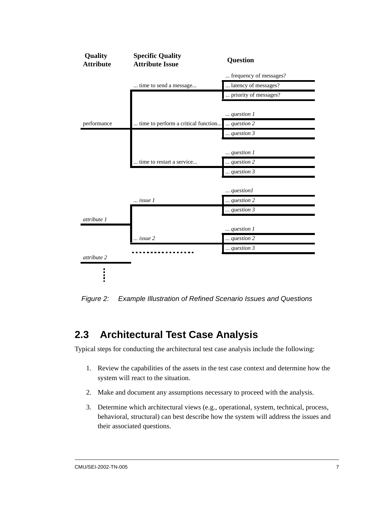

<span id="page-16-1"></span>Figure 2: Example Illustration of Refined Scenario Issues and Questions

#### <span id="page-16-0"></span>**2.3 Architectural Test Case Analysis**

Typical steps for conducting the architectural test case analysis include the following:

- 1. Review the capabilities of the assets in the test case context and determine how the system will react to the situation.
- 2. Make and document any assumptions necessary to proceed with the analysis.
- 3. Determine which architectural views (e.g., operational, system, technical, process, behavioral, structural) can best describe how the system will address the issues and their associated questions.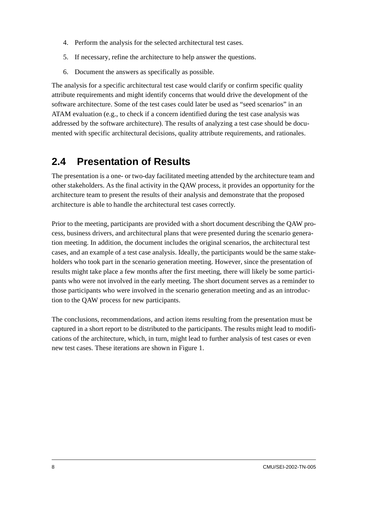- 4. Perform the analysis for the selected architectural test cases.
- 5. If necessary, refine the architecture to help answer the questions.
- 6. Document the answers as specifically as possible.

The analysis for a specific architectural test case would clarify or confirm specific quality attribute requirements and might identify concerns that would drive the development of the software architecture. Some of the test cases could later be used as "seed scenarios" in an ATAM evaluation (e.g., to check if a concern identified during the test case analysis was addressed by the software architecture). The results of analyzing a test case should be documented with specific architectural decisions, quality attribute requirements, and rationales.

#### <span id="page-17-0"></span>**2.4 Presentation of Results**

The presentation is a one- or two-day facilitated meeting attended by the architecture team and other stakeholders. As the final activity in the QAW process, it provides an opportunity for the architecture team to present the results of their analysis and demonstrate that the proposed architecture is able to handle the architectural test cases correctly.

Prior to the meeting, participants are provided with a short document describing the QAW process, business drivers, and architectural plans that were presented during the scenario generation meeting. In addition, the document includes the original scenarios, the architectural test cases, and an example of a test case analysis. Ideally, the participants would be the same stakeholders who took part in the scenario generation meeting. However, since the presentation of results might take place a few months after the first meeting, there will likely be some participants who were not involved in the early meeting. The short document serves as a reminder to those participants who were involved in the scenario generation meeting and as an introduction to the QAW process for new participants.

The conclusions, recommendations, and action items resulting from the presentation must be captured in a short report to be distributed to the participants. The results might lead to modifications of the architecture, which, in turn, might lead to further analysis of test cases or even new test cases. These iterations are shown in [Figure 1](#page-13-0).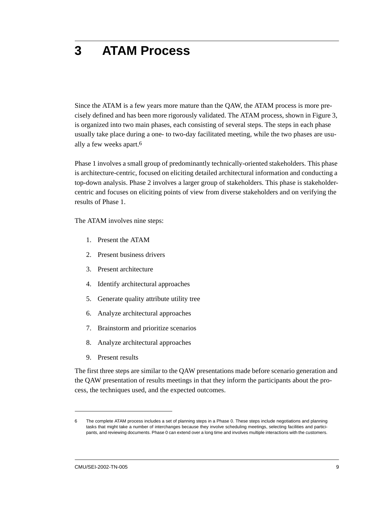# <span id="page-18-0"></span>**3 ATAM Process**

Since the ATAM is a few years more mature than the QAW, the ATAM process is more precisely defined and has been more rigorously validated. The ATAM process, shown in [Figure 3,](#page-19-0) is organized into two main phases, each consisting of several steps. The steps in each phase usually take place during a one- to two-day facilitated meeting, while the two phases are usually a few weeks apart.6

Phase 1 involves a small group of predominantly technically-oriented stakeholders. This phase is architecture-centric, focused on eliciting detailed architectural information and conducting a top-down analysis. Phase 2 involves a larger group of stakeholders. This phase is stakeholdercentric and focuses on eliciting points of view from diverse stakeholders and on verifying the results of Phase 1.

The ATAM involves nine steps:

- 1. Present the ATAM
- 2. Present business drivers
- 3. Present architecture
- 4. Identify architectural approaches
- 5. Generate quality attribute utility tree
- 6. Analyze architectural approaches
- 7. Brainstorm and prioritize scenarios
- 8. Analyze architectural approaches
- 9. Present results

The first three steps are similar to the QAW presentations made before scenario generation and the QAW presentation of results meetings in that they inform the participants about the process, the techniques used, and the expected outcomes.

<sup>6</sup> The complete ATAM process includes a set of planning steps in a Phase 0. These steps include negotiations and planning tasks that might take a number of interchanges because they involve scheduling meetings, selecting facilities and participants, and reviewing documents. Phase 0 can extend over a long time and involves multiple interactions with the customers.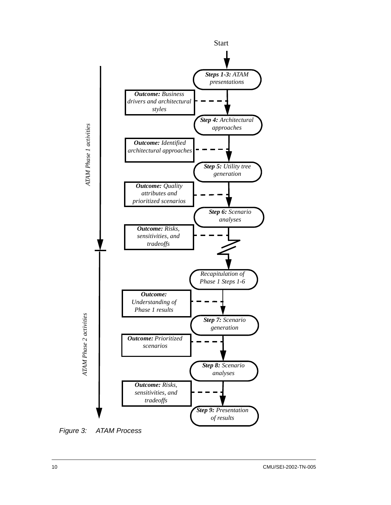

<span id="page-19-0"></span>Figure 3: ATAM Process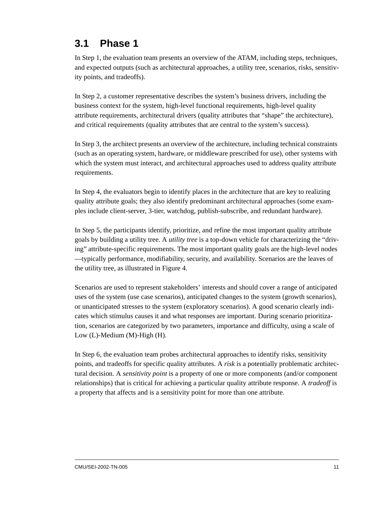### <span id="page-20-0"></span>**3.1 Phase 1**

In Step 1, the evaluation team presents an overview of the ATAM, including steps, techniques, and expected outputs (such as architectural approaches, a utility tree, scenarios, risks, sensitivity points, and tradeoffs).

In Step 2, a customer representative describes the system's business drivers, including the business context for the system, high-level functional requirements, high-level quality attribute requirements, architectural drivers (quality attributes that "shape" the architecture), and critical requirements (quality attributes that are central to the system's success).

In Step 3, the architect presents an overview of the architecture, including technical constraints (such as an operating system, hardware, or middleware prescribed for use), other systems with which the system must interact, and architectural approaches used to address quality attribute requirements.

In Step 4, the evaluators begin to identify places in the architecture that are key to realizing quality attribute goals; they also identify predominant architectural approaches (some examples include client-server, 3-tier, watchdog, publish-subscribe, and redundant hardware).

In Step 5, the participants identify, prioritize, and refine the most important quality attribute goals by building a utility tree. A *utility tree* is a top-down vehicle for characterizing the "driving" attribute-specific requirements. The most important quality goals are the high-level nodes —typically performance, modifiability, security, and availability. Scenarios are the leaves of the utility tree, as illustrated in [Figure 4.](#page-21-0)

Scenarios are used to represent stakeholders' interests and should cover a range of anticipated uses of the system (use case scenarios), anticipated changes to the system (growth scenarios), or unanticipated stresses to the system (exploratory scenarios). A good scenario clearly indicates which stimulus causes it and what responses are important. During scenario prioritization, scenarios are categorized by two parameters, importance and difficulty, using a scale of Low (L)-Medium (M)-High (H).

In Step 6, the evaluation team probes architectural approaches to identify risks, sensitivity points, and tradeoffs for specific quality attributes. A *risk* is a potentially problematic architectural decision. A *sensitivity point* is a property of one or more components (and/or component relationships) that is critical for achieving a particular quality attribute response. A *tradeoff* is a property that affects and is a sensitivity point for more than one attribute.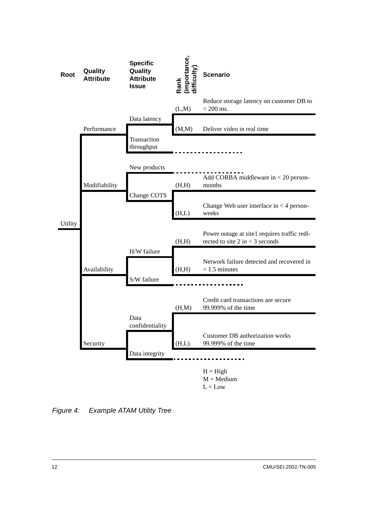

<span id="page-21-0"></span>Figure 4: Example ATAM Utility Tree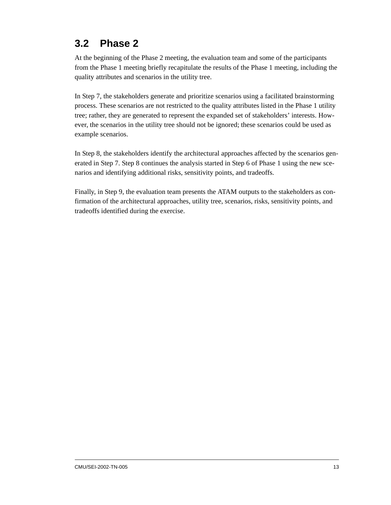### <span id="page-22-0"></span>**3.2 Phase 2**

At the beginning of the Phase 2 meeting, the evaluation team and some of the participants from the Phase 1 meeting briefly recapitulate the results of the Phase 1 meeting, including the quality attributes and scenarios in the utility tree.

In Step 7, the stakeholders generate and prioritize scenarios using a facilitated brainstorming process. These scenarios are not restricted to the quality attributes listed in the Phase 1 utility tree; rather, they are generated to represent the expanded set of stakeholders' interests. However, the scenarios in the utility tree should not be ignored; these scenarios could be used as example scenarios.

In Step 8, the stakeholders identify the architectural approaches affected by the scenarios generated in Step 7. Step 8 continues the analysis started in Step 6 of Phase 1 using the new scenarios and identifying additional risks, sensitivity points, and tradeoffs.

Finally, in Step 9, the evaluation team presents the ATAM outputs to the stakeholders as confirmation of the architectural approaches, utility tree, scenarios, risks, sensitivity points, and tradeoffs identified during the exercise.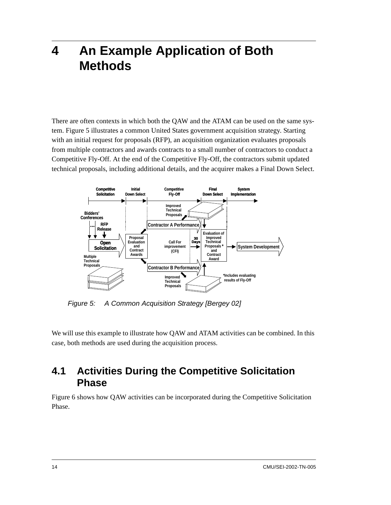### <span id="page-23-0"></span>**4 An Example Application of Both Methods**

There are often contexts in which both the QAW and the ATAM can be used on the same system. [Figure 5](#page-23-2) illustrates a common United States government acquisition strategy. Starting with an initial request for proposals (RFP), an acquisition organization evaluates proposals from multiple contractors and awards contracts to a small number of contractors to conduct a Competitive Fly-Off. At the end of the Competitive Fly-Off, the contractors submit updated technical proposals, including additional details, and the acquirer makes a Final Down Select.



<span id="page-23-2"></span>Figure 5: A Common Acquisition Strategy [Bergey 02]

We will use this example to illustrate how QAW and ATAM activities can be combined. In this case, both methods are used during the acquisition process.

#### <span id="page-23-1"></span>**4.1 Activities During the Competitive Solicitation Phase**

[Figure 6](#page-24-0) shows how QAW activities can be incorporated during the Competitive Solicitation Phase.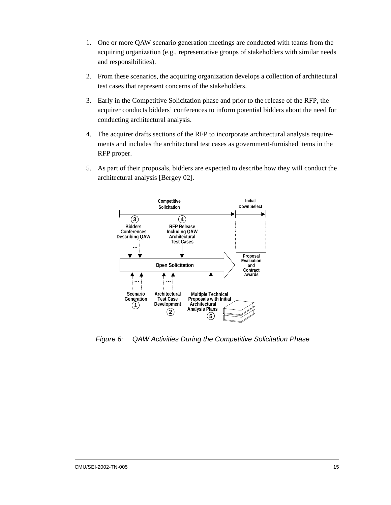- 1. One or more QAW scenario generation meetings are conducted with teams from the acquiring organization (e.g., representative groups of stakeholders with similar needs and responsibilities).
- 2. From these scenarios, the acquiring organization develops a collection of architectural test cases that represent concerns of the stakeholders.
- 3. Early in the Competitive Solicitation phase and prior to the release of the RFP, the acquirer conducts bidders' conferences to inform potential bidders about the need for conducting architectural analysis.
- 4. The acquirer drafts sections of the RFP to incorporate architectural analysis requirements and includes the architectural test cases as government-furnished items in the RFP proper.
- 5. As part of their proposals, bidders are expected to describe how they will conduct the architectural analysis [Bergey 02].



<span id="page-24-0"></span>Figure 6: QAW Activities During the Competitive Solicitation Phase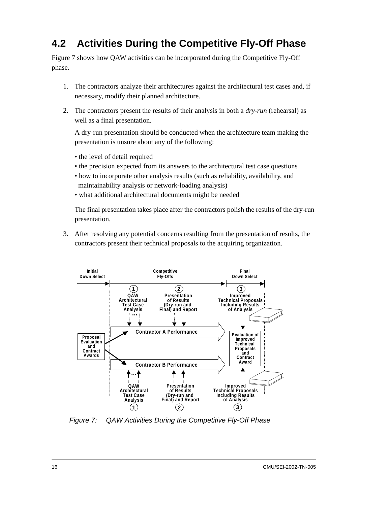#### <span id="page-25-0"></span>**4.2 Activities During the Competitive Fly-Off Phase**

[Figure 7](#page-25-1) shows how QAW activities can be incorporated during the Competitive Fly-Off phase.

- 1. The contractors analyze their architectures against the architectural test cases and, if necessary, modify their planned architecture.
- 2. The contractors present the results of their analysis in both a *dry-run* (rehearsal) as well as a final presentation.

A dry-run presentation should be conducted when the architecture team making the presentation is unsure about any of the following:

- the level of detail required
- the precision expected from its answers to the architectural test case questions
- how to incorporate other analysis results (such as reliability, availability, and maintainability analysis or network-loading analysis)
- what additional architectural documents might be needed

The final presentation takes place after the contractors polish the results of the dry-run presentation.

3. After resolving any potential concerns resulting from the presentation of results, the contractors present their technical proposals to the acquiring organization.



<span id="page-25-1"></span>Figure 7: QAW Activities During the Competitive Fly-Off Phase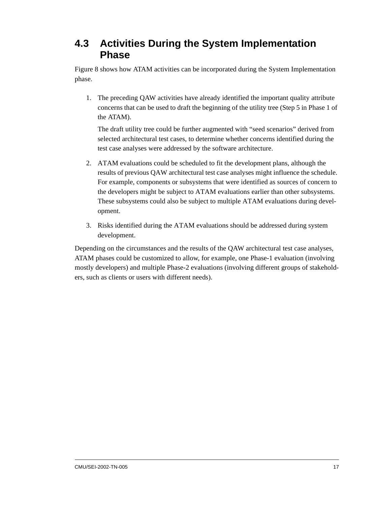#### <span id="page-26-0"></span>**4.3 Activities During the System Implementation Phase**

[Figure 8](#page-27-0) shows how ATAM activities can be incorporated during the System Implementation phase.

1. The preceding QAW activities have already identified the important quality attribute concerns that can be used to draft the beginning of the utility tree (Step 5 in Phase 1 of the ATAM).

The draft utility tree could be further augmented with "seed scenarios" derived from selected architectural test cases, to determine whether concerns identified during the test case analyses were addressed by the software architecture.

- 2. ATAM evaluations could be scheduled to fit the development plans, although the results of previous QAW architectural test case analyses might influence the schedule. For example, components or subsystems that were identified as sources of concern to the developers might be subject to ATAM evaluations earlier than other subsystems. These subsystems could also be subject to multiple ATAM evaluations during development.
- 3. Risks identified during the ATAM evaluations should be addressed during system development.

Depending on the circumstances and the results of the QAW architectural test case analyses, ATAM phases could be customized to allow, for example, one Phase-1 evaluation (involving mostly developers) and multiple Phase-2 evaluations (involving different groups of stakeholders, such as clients or users with different needs).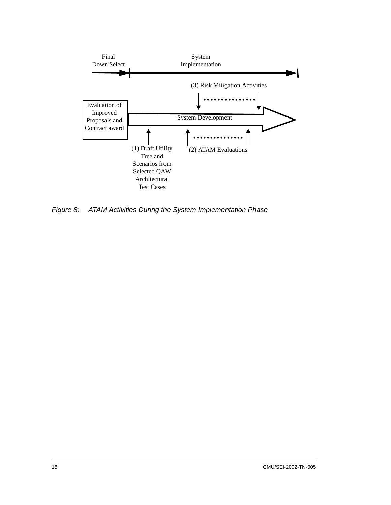

<span id="page-27-0"></span>Figure 8: ATAM Activities During the System Implementation Phase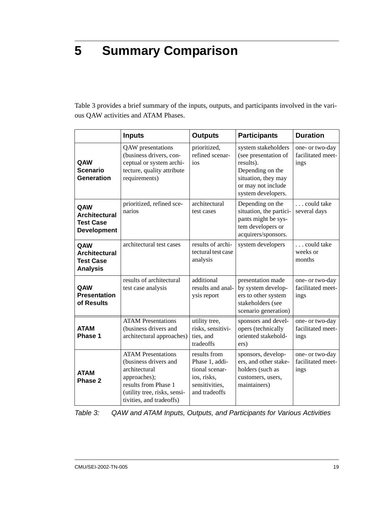# <span id="page-28-0"></span>**5 Summary Comparison**

[Table 3](#page-28-1) provides a brief summary of the inputs, outputs, and participants involved in the various QAW activities and ATAM Phases.

|                                                                       | <b>Inputs</b>                                                                                                                                                           | <b>Outputs</b>                                                                                     | <b>Participants</b>                                                                                                                             | <b>Duration</b>                              |
|-----------------------------------------------------------------------|-------------------------------------------------------------------------------------------------------------------------------------------------------------------------|----------------------------------------------------------------------------------------------------|-------------------------------------------------------------------------------------------------------------------------------------------------|----------------------------------------------|
| QAW<br><b>Scenario</b><br><b>Generation</b>                           | QAW presentations<br>(business drivers, con-<br>ceptual or system archi-<br>tecture, quality attribute<br>requirements)                                                 | prioritized,<br>refined scenar-<br>ios                                                             | system stakeholders<br>(see presentation of<br>results).<br>Depending on the<br>situation, they may<br>or may not include<br>system developers. | one- or two-day<br>facilitated meet-<br>ings |
| QAW<br><b>Architectural</b><br><b>Test Case</b><br><b>Development</b> | prioritized, refined sce-<br>narios                                                                                                                                     | architectural<br>test cases                                                                        | Depending on the<br>situation, the partici-<br>pants might be sys-<br>tem developers or<br>acquirers/sponsors.                                  | could take<br>several days                   |
| QAW<br>Architectural<br><b>Test Case</b><br><b>Analysis</b>           | architectural test cases                                                                                                                                                | results of archi-<br>tectural test case<br>analysis                                                | system developers                                                                                                                               | could take<br>weeks or<br>months             |
| QAW<br><b>Presentation</b><br>of Results                              | results of architectural<br>test case analysis                                                                                                                          | additional<br>results and anal-<br>ysis report                                                     | presentation made<br>by system develop-<br>ers to other system<br>stakeholders (see<br>scenario generation)                                     | one- or two-day<br>facilitated meet-<br>ings |
| <b>ATAM</b><br>Phase 1                                                | <b>ATAM Presentations</b><br>(business drivers and<br>architectural approaches)                                                                                         | utility tree,<br>risks, sensitivi-<br>ties, and<br>tradeoffs                                       | sponsors and devel-<br>opers (technically<br>oriented stakehold-<br>ers)                                                                        | one- or two-day<br>facilitated meet-<br>ings |
| <b>ATAM</b><br>Phase 2                                                | <b>ATAM Presentations</b><br>(business drivers and<br>architectural<br>approaches);<br>results from Phase 1<br>(utility tree, risks, sensi-<br>tivities, and tradeoffs) | results from<br>Phase 1, addi-<br>tional scenar-<br>ios, risks,<br>sensitivities,<br>and tradeoffs | sponsors, develop-<br>ers, and other stake-<br>holders (such as<br>customers, users,<br>maintainers)                                            | one- or two-day<br>facilitated meet-<br>ings |

<span id="page-28-1"></span>Table 3: QAW and ATAM Inputs, Outputs, and Participants for Various Activities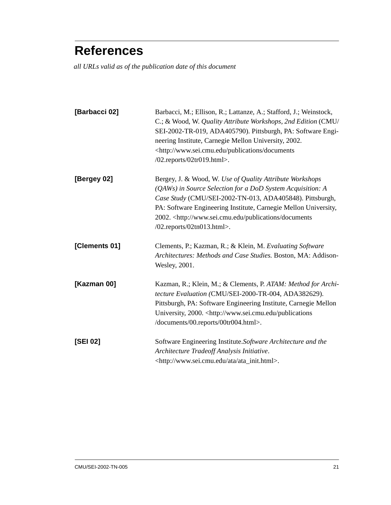# <span id="page-30-0"></span>**References**

*all URLs valid as of the publication date of this document*

| [Barbacci 02] | Barbacci, M.; Ellison, R.; Lattanze, A.; Stafford, J.; Weinstock,<br>C.; & Wood, W. Quality Attribute Workshops, 2nd Edition (CMU/<br>SEI-2002-TR-019, ADA405790). Pittsburgh, PA: Software Engi-<br>neering Institute, Carnegie Mellon University, 2002.<br><http: documents<br="" publications="" www.sei.cmu.edu="">/02.reports/02tr019.html&gt;.</http:>   |  |  |
|---------------|----------------------------------------------------------------------------------------------------------------------------------------------------------------------------------------------------------------------------------------------------------------------------------------------------------------------------------------------------------------|--|--|
| [Bergey 02]   | Bergey, J. & Wood, W. Use of Quality Attribute Workshops<br>(QAWs) in Source Selection for a DoD System Acquisition: A<br>Case Study (CMU/SEI-2002-TN-013, ADA405848). Pittsburgh,<br>PA: Software Engineering Institute, Carnegie Mellon University,<br>2002. <http: documents<br="" publications="" www.sei.cmu.edu="">/02.reports/02tn013.html&gt;.</http:> |  |  |
| [Clements 01] | Clements, P.; Kazman, R.; & Klein, M. Evaluating Software<br>Architectures: Methods and Case Studies. Boston, MA: Addison-<br>Wesley, 2001.                                                                                                                                                                                                                    |  |  |
| [Kazman 00]   | Kazman, R.; Klein, M.; & Clements, P. ATAM: Method for Archi-<br>tecture Evaluation (CMU/SEI-2000-TR-004, ADA382629).<br>Pittsburgh, PA: Software Engineering Institute, Carnegie Mellon<br>University, 2000. <http: publications<br="" www.sei.cmu.edu="">/documents/00.reports/00tr004.html&gt;.</http:>                                                     |  |  |
| [SEI 02]      | Software Engineering Institute.Software Architecture and the<br>Architecture Tradeoff Analysis Initiative.<br><http: ata="" ata_init.html="" www.sei.cmu.edu="">.</http:>                                                                                                                                                                                      |  |  |